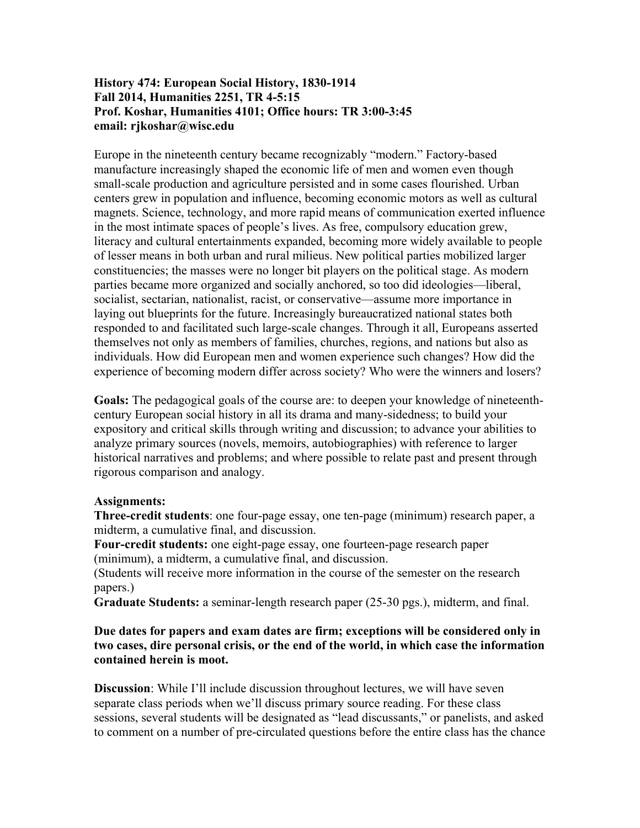# **History 474: European Social History, 1830-1914 Fall 2014, Humanities 2251, TR 4-5:15 Prof. Koshar, Humanities 4101; Office hours: TR 3:00-3:45 email: rjkoshar@wisc.edu**

Europe in the nineteenth century became recognizably "modern." Factory-based manufacture increasingly shaped the economic life of men and women even though small-scale production and agriculture persisted and in some cases flourished. Urban centers grew in population and influence, becoming economic motors as well as cultural magnets. Science, technology, and more rapid means of communication exerted influence in the most intimate spaces of people's lives. As free, compulsory education grew, literacy and cultural entertainments expanded, becoming more widely available to people of lesser means in both urban and rural milieus. New political parties mobilized larger constituencies; the masses were no longer bit players on the political stage. As modern parties became more organized and socially anchored, so too did ideologies—liberal, socialist, sectarian, nationalist, racist, or conservative—assume more importance in laying out blueprints for the future. Increasingly bureaucratized national states both responded to and facilitated such large-scale changes. Through it all, Europeans asserted themselves not only as members of families, churches, regions, and nations but also as individuals. How did European men and women experience such changes? How did the experience of becoming modern differ across society? Who were the winners and losers?

**Goals:** The pedagogical goals of the course are: to deepen your knowledge of nineteenthcentury European social history in all its drama and many-sidedness; to build your expository and critical skills through writing and discussion; to advance your abilities to analyze primary sources (novels, memoirs, autobiographies) with reference to larger historical narratives and problems; and where possible to relate past and present through rigorous comparison and analogy.

# **Assignments:**

**Three-credit students**: one four-page essay, one ten-page (minimum) research paper, a midterm, a cumulative final, and discussion.

**Four-credit students:** one eight-page essay, one fourteen-page research paper (minimum), a midterm, a cumulative final, and discussion.

(Students will receive more information in the course of the semester on the research papers.)

**Graduate Students:** a seminar-length research paper (25-30 pgs.), midterm, and final.

### **Due dates for papers and exam dates are firm; exceptions will be considered only in two cases, dire personal crisis, or the end of the world, in which case the information contained herein is moot.**

**Discussion**: While I'll include discussion throughout lectures, we will have seven separate class periods when we'll discuss primary source reading. For these class sessions, several students will be designated as "lead discussants," or panelists, and asked to comment on a number of pre-circulated questions before the entire class has the chance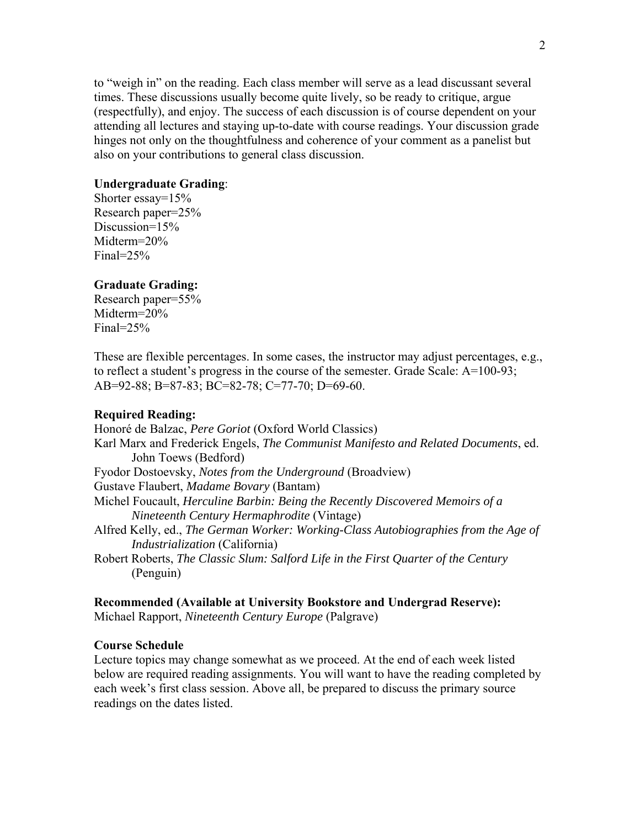to "weigh in" on the reading. Each class member will serve as a lead discussant several times. These discussions usually become quite lively, so be ready to critique, argue (respectfully), and enjoy. The success of each discussion is of course dependent on your attending all lectures and staying up-to-date with course readings. Your discussion grade hinges not only on the thoughtfulness and coherence of your comment as a panelist but also on your contributions to general class discussion.

### **Undergraduate Grading**:

Shorter essay=15% Research paper=25% Discussion=15% Midterm=20% Final=25%

#### **Graduate Grading:**

Research paper=55% Midterm=20% Final=25%

These are flexible percentages. In some cases, the instructor may adjust percentages, e.g., to reflect a student's progress in the course of the semester. Grade Scale: A=100-93; AB=92-88; B=87-83; BC=82-78; C=77-70; D=69-60.

#### **Required Reading:**

Honoré de Balzac, *Pere Goriot* (Oxford World Classics) Karl Marx and Frederick Engels, *The Communist Manifesto and Related Documents*, ed. John Toews (Bedford) Fyodor Dostoevsky, *Notes from the Underground* (Broadview) Gustave Flaubert, *Madame Bovary* (Bantam) Michel Foucault, *Herculine Barbin: Being the Recently Discovered Memoirs of a Nineteenth Century Hermaphrodite* (Vintage) Alfred Kelly, ed., *The German Worker: Working-Class Autobiographies from the Age of Industrialization* (California) Robert Roberts, *The Classic Slum: Salford Life in the First Quarter of the Century* (Penguin)

#### **Recommended (Available at University Bookstore and Undergrad Reserve):**  Michael Rapport, *Nineteenth Century Europe* (Palgrave)

### **Course Schedule**

Lecture topics may change somewhat as we proceed. At the end of each week listed below are required reading assignments. You will want to have the reading completed by each week's first class session. Above all, be prepared to discuss the primary source readings on the dates listed.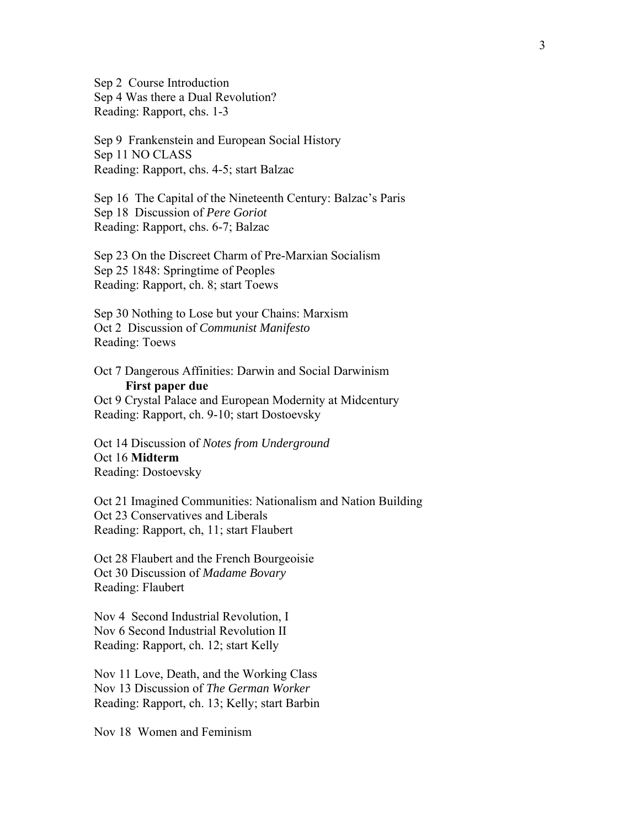Sep 2 Course Introduction Sep 4 Was there a Dual Revolution? Reading: Rapport, chs. 1-3

Sep 9 Frankenstein and European Social History Sep 11 NO CLASS Reading: Rapport, chs. 4-5; start Balzac

Sep 16 The Capital of the Nineteenth Century: Balzac's Paris Sep 18 Discussion of *Pere Goriot* Reading: Rapport, chs. 6-7; Balzac

Sep 23 On the Discreet Charm of Pre-Marxian Socialism Sep 25 1848: Springtime of Peoples Reading: Rapport, ch. 8; start Toews

Sep 30 Nothing to Lose but your Chains: Marxism Oct 2 Discussion of *Communist Manifesto* Reading: Toews

Oct 7 Dangerous Affinities: Darwin and Social Darwinism  **First paper due** Oct 9 Crystal Palace and European Modernity at Midcentury

Reading: Rapport, ch. 9-10; start Dostoevsky

Oct 14 Discussion of *Notes from Underground* Oct 16 **Midterm** Reading: Dostoevsky

Oct 21 Imagined Communities: Nationalism and Nation Building Oct 23 Conservatives and Liberals Reading: Rapport, ch, 11; start Flaubert

Oct 28 Flaubert and the French Bourgeoisie Oct 30 Discussion of *Madame Bovary* Reading: Flaubert

Nov 4 Second Industrial Revolution, I Nov 6 Second Industrial Revolution II Reading: Rapport, ch. 12; start Kelly

Nov 11 Love, Death, and the Working Class Nov 13 Discussion of *The German Worker* Reading: Rapport, ch. 13; Kelly; start Barbin

Nov 18 Women and Feminism